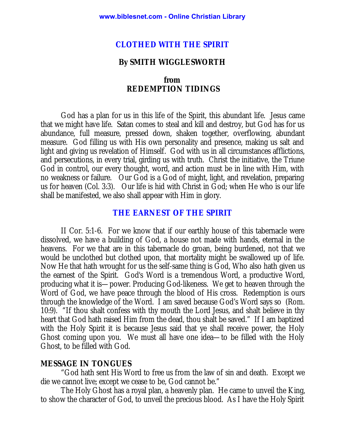#### **CLOTHED WITH THE SPIRIT**

### **By SMITH WIGGLESWORTH**

### **from REDEMPTION TIDINGS**

God has a plan for us in this life of the Spirit, this abundant life. Jesus came that we might have life. Satan comes to steal and kill and destroy, but God has for us abundance, full measure, pressed down, shaken together, overflowing, abundant measure. God filling us with His own personality and presence, making us salt and light and giving us revelation of Himself. God with us in all circumstances afflictions, and persecutions, in every trial, girding us with truth. Christ the initiative, the Triune God in control, our every thought, word, and action must be in line with Him, with no weakness or failure. Our God is a God of might, light, and revelation, preparing us for heaven (Col. 3:3). Our life is hid with Christ in God; when He who is our life shall be manifested, we also shall appear with Him in glory.

#### **THE EARNEST OF THE SPIRIT**

II Cor. 5:1-6. For we know that if our earthly house of this tabernacle were dissolved, we have a building of God, a house not made with hands, eternal in the heavens. For we that are in this tabernacle do groan, being burdened, not that we would be unclothed but clothed upon, that mortality might be swallowed up of life. Now He that hath wrought for us the self-same thing is God, Who also hath given us the earnest of the Spirit. God's Word is a tremendous Word, a productive Word, producing what it is—power. Producing God-likeness. We get to heaven through the Word of God, we have peace through the blood of His cross. Redemption is ours through the knowledge of the Word. I am saved because God's Word says so (Rom. 10:9). "If thou shalt confess with thy mouth the Lord Jesus, and shalt believe in thy heart that God hath raised Him from the dead, thou shalt be saved." If I am baptized with the Holy Spirit it is because Jesus said that ye shall receive power, the Holy Ghost coming upon you. We must all have one idea—to be filled with the Holy Ghost, to be filled with God.

#### **MESSAGE IN TONGUES**

"God hath sent His Word to free us from the law of sin and death. Except we die we cannot live; except we cease to be, God cannot be."

The Holy Ghost has a royal plan, a heavenly plan. He came to unveil the King, to show the character of God, to unveil the precious blood. As I have the Holy Spirit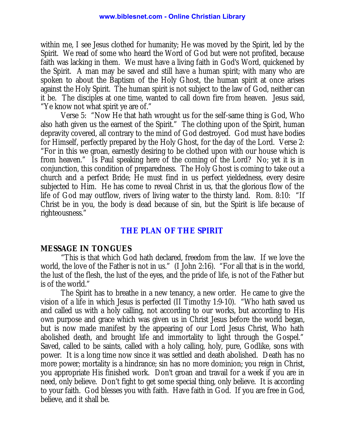within me, I see Jesus clothed for humanity; He was moved by the Spirit, led by the Spirit. We read of some who heard the Word of God but were not profited, because faith was lacking in them. We must have a living faith in God's Word, quickened by the Spirit. A man may be saved and still have a human spirit; with many who are spoken to about the Baptism of the Holy Ghost, the human spirit at once arises against the Holy Spirit. The human spirit is not subject to the law of God, neither can it be. The disciples at one time, wanted to call down fire from heaven. Jesus said, "Ye know not what spirit ye are of."

Verse 5: "Now He that hath wrought us for the self-same thing is God, Who also hath given us the earnest of the Spirit." The clothing upon of the Spirit, human depravity covered, all contrary to the mind of God destroyed. God must have bodies for Himself, perfectly prepared by the Holy Ghost, for the day of the Lord. Verse 2: "For in this we groan, earnestly desiring to be clothed upon with our house which is from heaven." Is Paul speaking here of the coming of the Lord? No; yet it is in conjunction, this condition of preparedness. The Holy Ghost is coming to take out a church and a perfect Bride; He must find in us perfect yieldedness, every desire subjected to Him. He has come to reveal Christ in us, that the glorious flow of the life of God may outflow, rivers of living water to the thirsty land. Rom. 8:10: "If Christ be in you, the body is dead because of sin, but the Spirit is life because of righteousness."

# **THE PLAN OF THE SPIRIT**

### **MESSAGE IN TONGUES**

"This is that which God hath declared, freedom from the law. If we love the world, the love of the Father is not in us." (I John 2:16). "For all that is in the world, the lust of the flesh, the lust of the eyes, and the pride of life, is not of the Father but is of the world."

The Spirit has to breathe in a new tenancy, a new order. He came to give the vision of a life in which Jesus is perfected (II Timothy 1:9-10). "Who hath saved us and called us with a holy calling, not according to our works, but according to His own purpose and grace which was given us in Christ Jesus before the world began, but is now made manifest by the appearing of our Lord Jesus Christ, Who hath abolished death, and brought life and immortality to light through the Gospel." Saved, called to be saints, called with a holy calling, holy, pure, Godlike, sons with power. It is a long time now since it was settled and death abolished. Death has no more power; mortality is a hindrance; sin has no more dominion; you reign in Christ, you appropriate His finished work. Don't groan and travail for a week if you are in need, only believe. Don't fight to get some special thing, only believe. It is according to your faith. God blesses you with faith. Have faith in God. If you are free in God, believe, and it shall be.